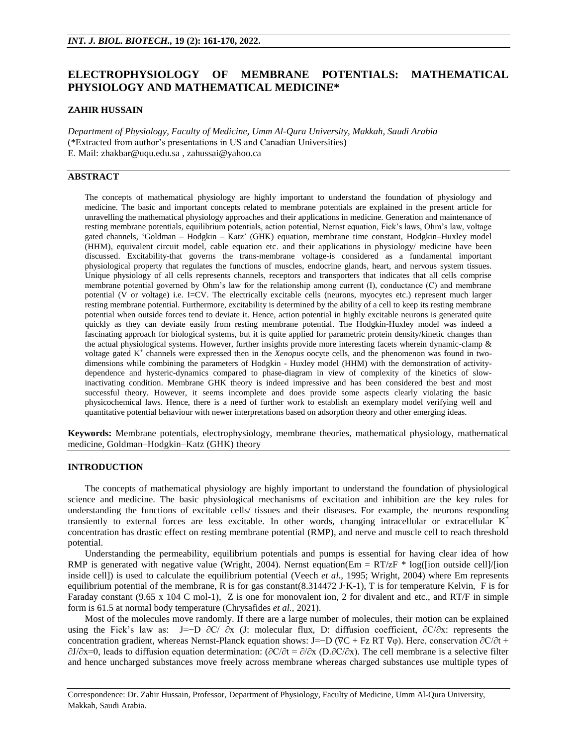# **ELECTROPHYSIOLOGY OF MEMBRANE POTENTIALS: MATHEMATICAL PHYSIOLOGY AND MATHEMATICAL MEDICINE\***

### **ZAHIR HUSSAIN**

*Department of Physiology, Faculty of Medicine, Umm Al-Qura University, Makkah, Saudi Arabia* (\*Extracted from author's presentations in US and Canadian Universities) E. Mail: [zhakbar@uqu.edu.sa](mailto:zhakbar@uqu.edu.sa) , [zahussai@yahoo.ca](mailto:zahussai@yahoo.ca) 

## **ABSTRACT**

The concepts of mathematical physiology are highly important to understand the foundation of physiology and medicine. The basic and important concepts related to membrane potentials are explained in the present article for unravelling the mathematical physiology approaches and their applications in medicine. Generation and maintenance of resting membrane potentials, equilibrium potentials, action potential, Nernst equation, Fick's laws, Ohm's law, voltage gated channels, 'Goldman – Hodgkin – Katz' (GHK) equation, membrane time constant, Hodgkin–Huxley model (HHM), equivalent circuit model, cable equation etc. and their applications in physiology/ medicine have been discussed. Excitability-that governs the trans-membrane voltage-is considered as a fundamental important physiological property that regulates the functions of muscles, endocrine glands, heart, and nervous system tissues. Unique physiology of all cells represents channels, receptors and transporters that indicates that all cells comprise membrane potential governed by Ohm's law for the relationship among current (I), conductance (C) and membrane potential (V or voltage) i.e. I=CV. The electrically excitable cells (neurons, myocytes etc.) represent much larger resting membrane potential. Furthermore, excitability is determined by the ability of a cell to keep its resting membrane potential when outside forces tend to deviate it. Hence, action potential in highly excitable neurons is generated quite quickly as they can deviate easily from resting membrane potential. The Hodgkin-Huxley model was indeed a fascinating approach for biological systems, but it is quite applied for parametric protein density/kinetic changes than the actual physiological systems. However, further insights provide more interesting facets wherein dynamic-clamp  $\&$ voltage gated K + channels were expressed then in the *Xenopus* oocyte cells, and the phenomenon was found in twodimensions while combining the parameters of Hodgkin - Huxley model (HHM) with the demonstration of activitydependence and hysteric-dynamics compared to phase-diagram in view of complexity of the kinetics of slowinactivating condition. Membrane GHK theory is indeed impressive and has been considered the best and most successful theory. However, it seems incomplete and does provide some aspects clearly violating the basic physicochemical laws. Hence, there is a need of further work to establish an exemplary model verifying well and quantitative potential behaviour with newer interpretations based on adsorption theory and other emerging ideas.

**Keywords:** Membrane potentials, electrophysiology, membrane theories, mathematical physiology, mathematical medicine, Goldman–Hodgkin–Katz (GHK) theory

### **INTRODUCTION**

The concepts of mathematical physiology are highly important to understand the foundation of physiological science and medicine. The basic physiological mechanisms of excitation and inhibition are the key rules for understanding the functions of excitable cells/ tissues and their diseases. For example, the neurons responding transiently to external forces are less excitable. In other words, changing intracellular or extracellular  $K^+$ concentration has drastic effect on resting membrane potential (RMP), and nerve and muscle cell to reach threshold potential.

Understanding the permeability, equilibrium potentials and pumps is essential for having clear idea of how RMP is generated with negative value (Wright, 2004). Nernst equation(Em = RT/zF  $*$  log([ion outside cell]/[ion] inside cell]) is used to calculate the equilibrium potential (Veech *et al.,* 1995; Wright, 2004) where Em represents equilibrium potential of the membrane, R is for gas constant(8.314472 J·K-1), T is for temperature Kelvin, F is for Faraday constant (9.65 x 104 C mol-1), Z is one for monovalent ion, 2 for divalent and etc., and RT/F in simple form is 61.5 at normal body temperature (Chrysafides *et al.,* 2021).

Most of the molecules move randomly. If there are a large number of molecules, their motion can be explained using the Fick's law as: J=−D  $\partial$ C/ $\partial$ x (J: molecular flux, D: diffusion coefficient,  $\partial$ C/ $\partial$ x: represents the concentration gradient, whereas Nernst-Planck equation shows: J=−D (∇C + Fz RT ∇φ). Here, conservation ∂C/∂t +  $\partial J/\partial x=0$ , leads to diffusion equation determination:  $(\partial C/\partial t = \partial/\partial x)$ . The cell membrane is a selective filter and hence uncharged substances move freely across membrane whereas charged substances use multiple types of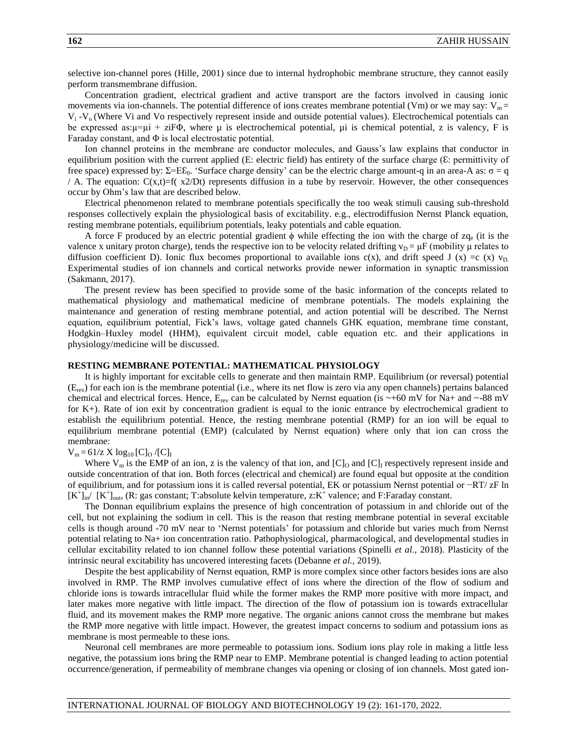selective ion-channel pores (Hille, 2001) since due to internal hydrophobic membrane structure, they cannot easily perform transmembrane diffusion.

Concentration gradient, electrical gradient and active transport are the factors involved in causing ionic movements via ion-channels. The potential difference of ions creates membrane potential (Vm) or we may say:  $V_m =$  $V_i$  - $V_o$  (Where Vi and Vo respectively represent inside and outside potential values). Electrochemical potentials can be expressed as: $\mu = \mu i + \bar{z}$  is  $\mu$  is electrochemical potential,  $\mu i$  is chemical potential, z is valency, F is Faraday constant, and  $\Phi$  is local electrostatic potential.

Ion channel proteins in the membrane are conductor molecules, and Gauss's law explains that conductor in equilibrium position with the current applied (E: electric field) has entirety of the surface charge (ε: permittivity of free space) expressed by:  $\Sigma = E\epsilon_0$ . 'Surface charge density' can be the electric charge amount-q in an area-A as: σ = q / A. The equation:  $C(x,t)=f(x^2/Dt)$  represents diffusion in a tube by reservoir. However, the other consequences occur by Ohm's law that are described below.

Electrical phenomenon related to membrane potentials specifically the too weak stimuli causing sub-threshold responses collectively explain the physiological basis of excitability. e.g., electrodiffusion Nernst Planck equation, resting membrane potentials, equilibrium potentials, leaky potentials and cable equation.

A force F produced by an electric potential gradient  $\phi$  while effecting the ion with the charge of zq<sub>e</sub> (it is the valence x unitary proton charge), tends the respective ion to be velocity related drifting  $v_D = \mu F$  (mobility  $\mu$  relates to diffusion coefficient D). Ionic flux becomes proportional to available ions c(x), and drift speed J (x) =c (x)  $v_D$ Experimental studies of ion channels and cortical networks provide newer information in synaptic transmission (Sakmann, 2017).

The present review has been specified to provide some of the basic information of the concepts related to mathematical physiology and mathematical medicine of membrane potentials. The models explaining the maintenance and generation of resting membrane potential, and action potential will be described. The Nernst equation, equilibrium potential, Fick's laws, voltage gated channels GHK equation, membrane time constant, Hodgkin–Huxley model (HHM), equivalent circuit model, cable equation etc. and their applications in physiology/medicine will be discussed.

### **RESTING MEMBRANE POTENTIAL: MATHEMATICAL PHYSIOLOGY**

It is highly important for excitable cells to generate and then maintain RMP. Equilibrium (or reversal) potential  $(E_{rev})$  for each ion is the membrane potential (i.e., where its net flow is zero via any open channels) pertains balanced chemical and electrical forces. Hence,  $E_{rev}$  can be calculated by Nernst equation (is ~+60 mV for Na+ and ~-88 mV for K+). Rate of ion exit by concentration gradient is equal to the ionic entrance by electrochemical gradient to establish the equilibrium potential. Hence, the resting membrane potential (RMP) for an ion will be equal to equilibrium membrane potential (EMP) (calculated by Nernst equation) where only that ion can cross the membrane:

#### $V_m = 61/z$  X  $log_{10} [C]_0 / [C]_I$

Where  $V_m$  is the EMP of an ion, z is the valency of that ion, and  $[C]_0$  and  $[C]_1$  respectively represent inside and outside concentration of that ion. Both forces (electrical and chemical) are found equal but opposite at the condition of equilibrium, and for potassium ions it is called reversal potential, EK or potassium Nernst potential or −RT/ zF ln  $[K^+]_{in}$  [K<sup>+</sup>]<sub>out</sub>, (R: gas constant; T:absolute kelvin temperature, z:K<sup>+</sup> valence; and F:Faraday constant.

The Donnan equilibrium explains the presence of high concentration of potassium in and chloride out of the cell, but not explaining the sodium in cell. This is the reason that resting membrane potential in several excitable cells is though around -70 mV near to 'Nernst potentials' for potassium and chloride but varies much from Nernst potential relating to Na+ ion concentration ratio. Pathophysiological, pharmacological, and developmental studies in cellular excitability related to ion channel follow these potential variations (Spinelli *et al.,* 2018). Plasticity of the intrinsic neural excitability has uncovered interesting facets (Debanne *et al.,* 2019).

Despite the best applicability of Nernst equation, RMP is more complex since other factors besides ions are also involved in RMP. The RMP involves cumulative effect of ions where the direction of the flow of sodium and chloride ions is towards intracellular fluid while the former makes the RMP more positive with more impact, and later makes more negative with little impact. The direction of the flow of potassium ion is towards extracellular fluid, and its movement makes the RMP more negative. The organic anions cannot cross the membrane but makes the RMP more negative with little impact. However, the greatest impact concerns to sodium and potassium ions as membrane is most permeable to these ions.

Neuronal cell membranes are more permeable to potassium ions. Sodium ions play role in making a little less negative, the potassium ions bring the RMP near to EMP. Membrane potential is changed leading to action potential occurrence/generation, if permeability of membrane changes via opening or closing of ion channels. Most gated ion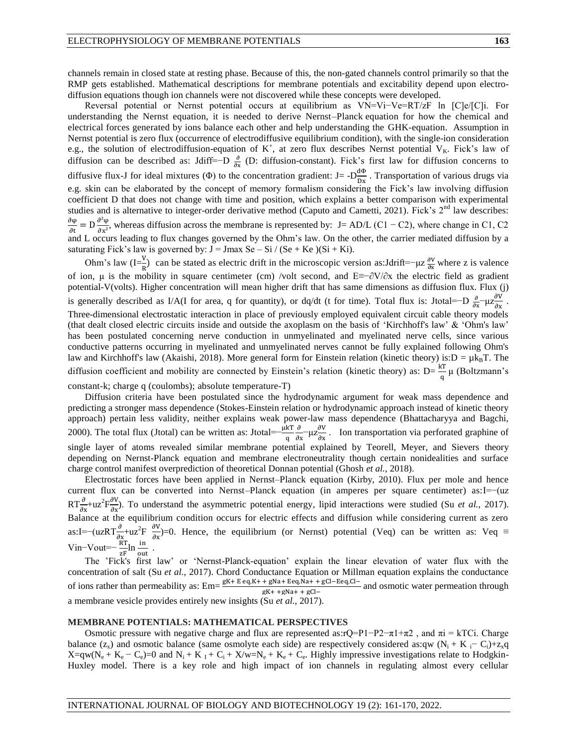channels remain in closed state at resting phase. Because of this, the non-gated channels control primarily so that the RMP gets established. Mathematical descriptions for membrane potentials and excitability depend upon electrodiffusion equations though ion channels were not discovered while these concepts were developed.

Reversal potential or Nernst potential occurs at equilibrium as VN=Vi−Ve=RT/zF ln [C]e/[C]i. For understanding the Nernst equation, it is needed to derive Nernst–Planck equation for how the chemical and electrical forces generated by ions balance each other and help understanding the GHK-equation. Assumption in Nernst potential is zero flux (occurrence of electrodiffusive equilibrium condition), with the single-ion consideration e.g., the solution of electrodiffusion-equation of  $K^+$ , at zero flux describes Nernst potential  $V_K$ . Fick's law of diffusion can be described as: Jdiff=−D  $\frac{\partial}{\partial x}$  (D: diffusion-constant). Fick's first law for diffusion concerns to diffusive flux-J for ideal mixtures ( $\Phi$ ) to the concentration gradient: J= - $D_{\overline{r}}^d$  $\frac{d\Phi}{dx}$ . Transportation of various drugs via e.g. skin can be elaborated by the concept of memory formalism considering the Fick's law involving diffusion coefficient D that does not change with time and position, which explains a better comparison with experimental studies and is alternative to integer-order derivative method (Caputo and Cametti, 2021). Fick's  $2<sup>nd</sup>$  law describes: д  $\frac{\partial \varphi}{\partial t} = D \frac{\partial}{\partial t}$  $\frac{\partial \phi}{\partial x^2}$ , whereas diffusion across the membrane is represented by: J= AD/L (C1 – C2), where change in C1, C2 and L occurs leading to flux changes governed by the Ohm's law. On the other, the carrier mediated diffusion by a saturating Fick's law is governed by:  $J = Jmax Se - Si / (Se + Ke) (Si + Ki)$ .

Ohm's law (I= $\frac{V}{R}$ ) can be stated as electric drift in the microscopic version as:Jdrift=−μz  $\frac{\partial V}{\partial x}$  where z is valence of ion,  $\mu$  is the mobility in square centimeter (cm) /volt second, and E≡−∂V/∂x the electric field as gradient potential-V(volts). Higher concentration will mean higher drift that has same dimensions as diffusion flux. Flux (j) is generally described as I/A(I for area, q for quantity), or dq/dt (t for time). Total flux is: Jtotal=−D  $\frac{\partial}{\partial x} - \mu z \frac{\partial}{\partial y}$  $\frac{\partial v}{\partial x}$ . Three-dimensional electrostatic interaction in place of previously employed equivalent circuit cable theory models (that dealt closed electric circuits inside and outside the axoplasm on the basis of 'Kirchhoff's law' & 'Ohm's law' has been postulated concerning nerve conduction in unmyelinated and myelinated nerve cells, since various conductive patterns occurring in myelinated and unmyelinated nerves cannot be fully explained following Ohm's law and Kirchhoff's law (Akaishi, 2018). More general form for Einstein relation (kinetic theory) is: $D = \mu k_B T$ . The diffusion coefficient and mobility are connected by Einstein's relation (kinetic theory) as:  $D = \frac{kT}{q} \mu$  (Boltzmann's

constant-k; charge q (coulombs); absolute temperature-T)

Diffusion criteria have been postulated since the hydrodynamic argument for weak mass dependence and predicting a stronger mass dependence (Stokes-Einstein relation or hydrodynamic approach instead of kinetic theory approach) pertain less validity, neither explains weak power-law mass dependence (Bhattacharyya and Bagchi, 2000). The total flux (Jtotal) can be written as: Jtotal= $-\frac{\mu k}{q}$ д  $\frac{\partial}{\partial x}$ - $\mu z \frac{\partial}{\partial x}$  $\frac{\partial v}{\partial x}$ . Ion transportation via perforated graphine of single layer of atoms revealed similar membrane potential explained by Teorell, Meyer, and Sievers theory depending on Nernst-Planck equation and membrane electroneutrality though certain nonidealities and surface charge control manifest overprediction of theoretical Donnan potential (Ghosh *et al.,* 2018).

Electrostatic forces have been applied in Nernst–Planck equation (Kirby, 2010). Flux per mole and hence current flux can be converted into Nernst–Planck equation (in amperes per square centimeter) as:I=−(uz  $RT\frac{\partial}{\partial x}+uz^2F\frac{\partial}{\partial x}$  $\frac{\partial v}{\partial x}$ ). To understand the asymmetric potential energy, lipid interactions were studied (Su *et al.*, 2017). Balance at the equilibrium condition occurs for electric effects and diffusion while considering current as zero as:I=–(uzRT $\frac{\partial}{\partial x}$ +uz<sup>2</sup>F  $\frac{\partial}{\partial x}$  $\frac{\partial v}{\partial x}$ )=0. Hence, the equilibrium (or Nernst) potential (Veq) can be written as: Veq  $\equiv$ Vin–Vout= $-\frac{RT}{zF}$ ln  $\frac{in}{out}$ .

The 'Fick's first law' or 'Nernst-Planck-equation' explain the linear elevation of water flux with the concentration of salt (Su *et al.,* 2017). Chord Conductance Equation or Millman equation explains the conductance of ions rather than permeability as:  $Em = \frac{gK + E eq, K + + gNa + E eq, Na + + gCl - E eq, Cl -}$  and osmotic water permeation through  $gK+ + gNa+ + gCl$ a membrane vesicle provides entirely new insights (Su *et al.,* 2017).

#### **MEMBRANE POTENTIALS: MATHEMATICAL PERSPECTIVES**

Osmotic pressure with negative charge and flux are represented as:r $Q=Pl-P2-\pi 1+\pi 2$ , and  $\pi i = kTCi$ . Charge balance (z<sub>x</sub>) and osmotic balance (same osmolyte each side) are respectively considered as:qw (N<sub>i</sub> + K i<sup>−</sup> C<sub>i</sub>)+z<sub>x</sub>q  $X=qw(N_e+K_e-C_e)=0$  and  $N_i+K_i+C_i+X/w=N_e+K_e+C_e$ . Highly impressive investigations relate to Hodgkin-Huxley model. There is a key role and high impact of ion channels in regulating almost every cellular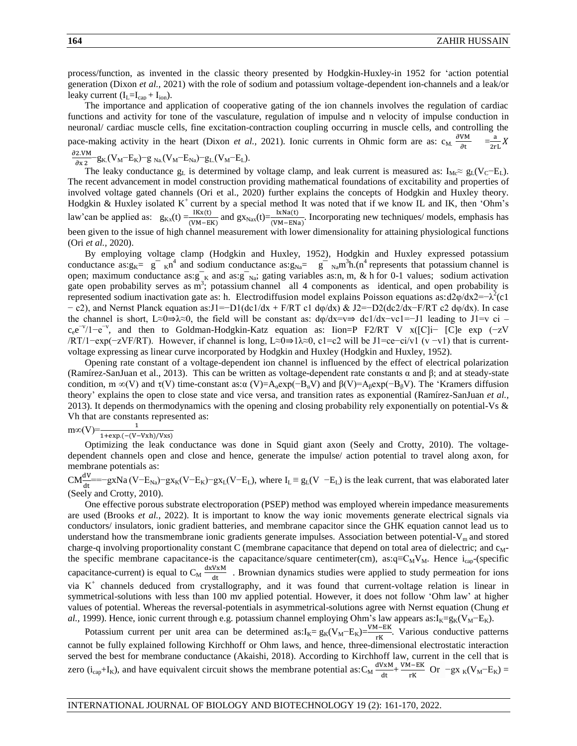process/function, as invented in the classic theory presented by Hodgkin-Huxley-in 1952 for 'action potential generation (Dixon *et al.,* 2021) with the role of sodium and potassium voltage-dependent ion-channels and a leak/or leaky current  $(I_L = I_{cap} + I_{ion}).$ 

The importance and application of cooperative gating of the ion channels involves the regulation of cardiac functions and activity for tone of the vasculature, regulation of impulse and n velocity of impulse conduction in neuronal/ cardiac muscle cells, fine excitation-contraction coupling occurring in muscle cells, and controlling the pace-making activity in the heart (Dixon *et al.*, 2021). Ionic currents in Ohmic form are as:  $c_M \frac{\partial}{\partial x}$  $\frac{\text{VM}}{\partial t} = \frac{a}{2r}$  $\frac{a}{2rL}X$  $\partial$ 2.VM

 $\frac{2.VM}{\partial x \, 2}$  – g<sub>K.</sub>(V<sub>M</sub>–E<sub>K</sub>)–g<sub>Na</sub>.(V<sub>M</sub>–E<sub>Na</sub>)–g<sub>L.</sub>(V<sub>M</sub>–E<sub>L</sub>).

The leaky conductance  $g_L$  is determined by voltage clamp, and leak current is measured as: I<sub>Mc</sub>≈  $g_L(V_C-E_L)$ . The recent advancement in model construction providing mathematical foundations of excitability and properties of involved voltage gated channels (Ori et al., 2020) further explains the concepts of Hodgkin and Huxley theory. Hodgkin & Huxley isolated  $K^+$  current by a special method It was noted that if we know IL and IK, then 'Ohm's law'can be applied as:  $g_{Kx}(t) = \frac{1}{\alpha}$  $\frac{dKx(t)}{dW - E}$  and  $gx_{\text{Nav}}(t) = \frac{dKx(t)}{dW - EXa}$ . Incorporating new techniques/ models, emphasis has been given to the issue of high channel measurement with lower dimensionality for attaining physiological functions (Ori *et al.,* 2020).

By employing voltage clamp (Hodgkin and Huxley, 1952), Hodgkin and Huxley expressed potassium conductance as: $g_K = g^ _K n^4$  and sodium conductance as: $g_{Na} = g^ _{Na}m^3$ h.(n<sup>4</sup> represents that potassium channel is open; maximum conductance as: $g^-_K$  and as: $g^-_{Na}$ ; gating variables as:n, m, & h for 0-1 values; sodium activation gate open probability serves as  $\overline{m}^3$ ; potassium channel all 4 components as identical, and open probability is represented sodium inactivation gate as: h. Electrodiffusion model explains Poisson equations as:d2 $\varphi$ /dx2=− $\lambda^2$ (c1 − c2), and Nernst Planck equation as:J1=−D1(dc1/dx + F/RT c1 dφ/dx) & J2=−D2(dc2/dx−F/RT c2 dφ/dx). In case the channel is short, L≈0⇒λ≈0, the field will be constant as: dφ/dx=v⇒ dc1/dx−vc1=−J1 leading to J1=v ci –  $c_e e^{-v}/1-e^{-v}$ , and then to Goldman-Hodgkin-Katz equation as: Iion=P F2/RT V x([C]i- [C]e exp (-zV /RT/1−exp(−zVF/RT). However, if channel is long, L≈0⇒1λ≈0, c1=c2 will be J1=ce−ci/v1 (v −v1) that is currentvoltage expressing as linear curve incorporated by Hodgkin and Huxley (Hodgkin and Huxley, 1952).

Opening rate constant of a voltage-dependent ion channel is influenced by the effect of electrical polarization (Ramírez-SanJuan et al., 2013). This can be written as voltage-dependent rate constants α and β; and at steady-state condition, m ∞(V) and  $\tau$ (V) time-constant as: $\alpha$  (V)=A<sub>α</sub>exp(−B<sub>a</sub>V) and  $\beta$ (V)=A<sub>β</sub>exp(−B<sub>β</sub>V). The 'Kramers diffusion theory' explains the open to close state and vice versa, and transition rates as exponential (Ramírez-SanJuan *et al.,*  2013). It depends on thermodynamics with the opening and closing probability rely exponentially on potential-Vs & Vh that are constants represented as:

 $\text{m}\infty(V)=\frac{1}{1+\exp.(-(V-))}$ 

Optimizing the leak conductance was done in Squid giant axon (Seely and Crotty, 2010). The voltagedependent channels open and close and hence, generate the impulse/ action potential to travel along axon, for membrane potentials as:

 $CM_{\text{dt}}^{\text{dV}}$  ==−gxNa (V−E<sub>Na</sub>)−gx<sub>K</sub>(V−E<sub>K</sub>)−gx<sub>L</sub>(V−E<sub>L</sub>), where I<sub>L</sub> = g<sub>L</sub>(V −E<sub>L</sub>) is the leak current, that was elaborated later (Seely and Crotty, 2010).

One effective porous substrate electroporation (PSEP) method was employed wherein impedance measurements are used (Brooks *et al.,* 2022). It is important to know the way ionic movements generate electrical signals via conductors/ insulators, ionic gradient batteries, and membrane capacitor since the GHK equation cannot lead us to understand how the transmembrane ionic gradients generate impulses. Association between potential- $V_m$  and stored charge-q involving proportionality constant C (membrane capacitance that depend on total area of dielectric; and c<sub>M</sub>the specific membrane capacitance-is the capacitance/square centimeter(cm), as: $q= C_M V_M$ . Hence i<sub>cap</sub>-(specific capacitance-current) is equal to  $C_M \stackrel{d}{=}$  $\frac{V_{\text{AM}}}{dt}$ . Brownian dynamics studies were applied to study permeation for ions via K<sup>+</sup> channels deduced from crystallography, and it was found that current-voltage relation is linear in symmetrical-solutions with less than 100 mv applied potential. However, it does not follow 'Ohm law' at higher values of potential. Whereas the reversal-potentials in asymmetrical-solutions agree with Nernst equation (Chung *et al.,* 1999). Hence, ionic current through e.g. potassium channel employing Ohm's law appears as:I<sub>K</sub>=g<sub>K</sub>(V<sub>M</sub>−E<sub>K</sub>).

Potassium current per unit area can be determined as: $I_K = g_K(V_M - E_K) = \frac{VM - EK}{rK}$ . Various conductive patterns cannot be fully explained following Kirchhoff or Ohm laws, and hence, three-dimensional electrostatic interaction served the best for membrane conductance (Akaishi, 2018). According to Kirchhoff law, current in the cell that is zero (i<sub>cap</sub>+I<sub>K</sub>), and have equivalent circuit shows the membrane potential as: $C_M \stackrel{d}{=}$  $\frac{VxM}{dt} + \frac{V}{dt}$  $\frac{H-EK}{rK}$  Or  $-gx_K(V_M-E_K)$  =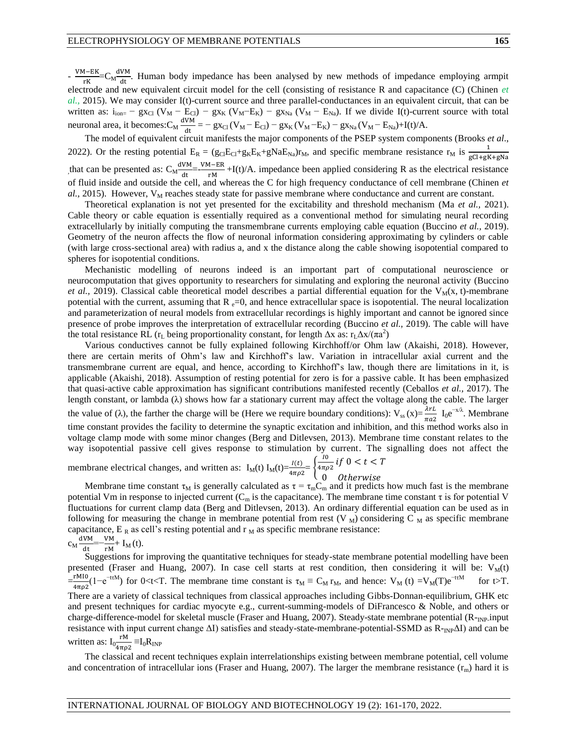$-\frac{V}{\sqrt{2}}$  $\frac{M-EK}{rK}$  = C<sub>M</sub><sup>d</sup>  $\frac{\partial W_H}{\partial t}$ . Human body impedance has been analysed by new methods of impedance employing armpit electrode and new equivalent circuit model for the cell (consisting of resistance R and capacitance (C) (Chinen *et al.,* 2015). We may consider I(t)-current source and three parallel-conductances in an equivalent circuit, that can be written as:  $i_{ionz}$  – gx<sub>Cl</sub> (V<sub>M</sub> – E<sub>Cl</sub>) – gx<sub>K</sub> (V<sub>M</sub>–E<sub>K</sub>) – gx<sub>Na</sub> (V<sub>M</sub> – E<sub>Na</sub>). If we divide I(t)-current source with total neuronal area, it becomes: $C_M \frac{d}{dt}$  $\frac{V_{\text{N}}}{dt}$  = – gx<sub>Cl</sub> (V<sub>M</sub> – E<sub>Cl</sub>) – gx<sub>K</sub> (V<sub>M</sub> – E<sub>K</sub>) – gx<sub>Na</sub> (V<sub>M</sub> – E<sub>Na</sub>)+I(t)/A.

The model of equivalent circuit manifests the major components of the PSEP system components (Brooks *et al*., 2022). Or the resting potential  $E_R = (g_{Cl}E_{Cl}+g_KE_K+gNaE_{Na})r_M$ , and specific membrane resistance  $r_M$  is  $\frac{1}{gCl+gK+gNa}$ g that can be presented as:  $C_M^d$  $\frac{VM}{dt}$ = $-\frac{V}{t}$  $\frac{n-\text{E}}{rM}$  +I(t)/A. impedance been applied considering R as the electrical resistance of fluid inside and outside the cell, and whereas the C for high frequency conductance of cell membrane (Chinen *et*   $al, 2015$ ). However,  $V_M$  reaches steady state for passive membrane where conductance and current are constant.

Theoretical explanation is not yet presented for the excitability and threshold mechanism (Ma *et al.,* 2021). Cable theory or cable equation is essentially required as a conventional method for simulating neural recording extracellularly by initially computing the transmembrane currents employing cable equation (Buccino *et al.,* 2019). Geometry of the neuron affects the flow of neuronal information considering approximating by cylinders or cable (with large cross-sectional area) with radius a, and x the distance along the cable showing isopotential compared to spheres for isopotential conditions.

Mechanistic modelling of neurons indeed is an important part of computational neuroscience or neurocomputation that gives opportunity to researchers for simulating and exploring the neuronal activity (Buccino *et al.*, 2019). Classical cable theoretical model describes a partial differential equation for the  $V_M(x, t)$ -membrane potential with the current, assuming that  $R_{e}=0$ , and hence extracellular space is isopotential. The neural localization and parameterization of neural models from extracellular recordings is highly important and cannot be ignored since presence of probe improves the interpretation of extracellular recording (Buccino *et al.,* 2019). The cable will have the total resistance RL ( $r_L$  being proportionality constant, for length  $\Delta x$  as:  $r_L \Delta x / (\pi a^2)$ 

Various conductives cannot be fully explained following Kirchhoff/or Ohm law (Akaishi, 2018). However, there are certain merits of Ohm's law and Kirchhoff's law. Variation in intracellular axial current and the transmembrane current are equal, and hence, according to Kirchhoff's law, though there are limitations in it, is applicable (Akaishi, 2018). Assumption of resting potential for zero is for a passive cable. It has been emphasized that quasi-active cable approximation has significant contributions manifested recently (Ceballos *et al.,* 2017). The length constant, or lambda  $(\lambda)$  shows how far a stationary current may affect the voltage along the cable. The larger the value of ( $\lambda$ ), the farther the charge will be (Here we require boundary conditions):  $V_{ss}(x) = \frac{\lambda rL}{\pi a^2} I_0 e^{-x/\lambda}$ . Membrane time constant provides the facility to determine the synaptic excitation and inhibition, and this method works also in voltage clamp mode with some minor changes (Berg and Ditlevsen, 2013). Membrane time constant relates to the way isopotential passive cell gives response to stimulation by current. The signalling does not affect the I

 $\frac{10}{4\pi\rho^2}i$ membrane electrical changes, and written as:  $I_M(t) I_M(t) = \frac{I(t)}{4\pi \rho^2}$ Otherwise  $\boldsymbol{0}$ 

Membrane time constant  $\tau_M$  is generally calculated as  $\tau = \tau_m C_m$  and it predicts how much fast is the membrane potential Vm in response to injected current ( $C_m$  is the capacitance). The membrane time constant  $\tau$  is for potential V fluctuations for current clamp data (Berg and Ditlevsen, 2013). An ordinary differential equation can be used as in following for measuring the change in membrane potential from rest (V  $_M$ ) considering C  $_M$  as specific membrane capacitance,  $E_R$  as cell's resting potential and  $r_M$  as specific membrane resistance: dVM V

$$
c_{M}\frac{d^{VM}}{dt}=-\frac{VM}{rM}+I_{M}(t).
$$

Suggestions for improving the quantitative techniques for steady-state membrane potential modelling have been presented (Fraser and Huang, 2007). In case cell starts at rest condition, then considering it will be:  $V_M(t)$  $=\frac{r}{4}$  $\frac{r_{\text{M}}}{4\pi\rho^2}(1-e^{-rtM})$  for 0<t<T. The membrane time constant is  $\tau_M \equiv C_M r_M$ , and hence:  $V_M(t) = V_M(T)e^{-rtM}$  for t>T. There are a variety of classical techniques from classical approaches including Gibbs-Donnan-equilibrium, GHK etc and present techniques for cardiac myocyte e.g., current-summing-models of DiFrancesco & Noble, and others or charge-difference-model for skeletal muscle (Fraser and Huang, 2007). Steady-state membrane potential (R-<sub>INP-</sub>input resistance with input current change  $\Delta I$ ) satisfies and steady-state-membrane-potential-SSMD as R-<sub>INP</sub> $\Delta I$ ) and can be written as:  $I_0 \frac{r}{4\pi}$  $\frac{1}{4\pi\rho^2} \equiv I_0 R_{INP}$ 

The classical and recent techniques explain interrelationships existing between membrane potential, cell volume and concentration of intracellular ions (Fraser and Huang, 2007). The larger the membrane resistance  $(r_m)$  hard it is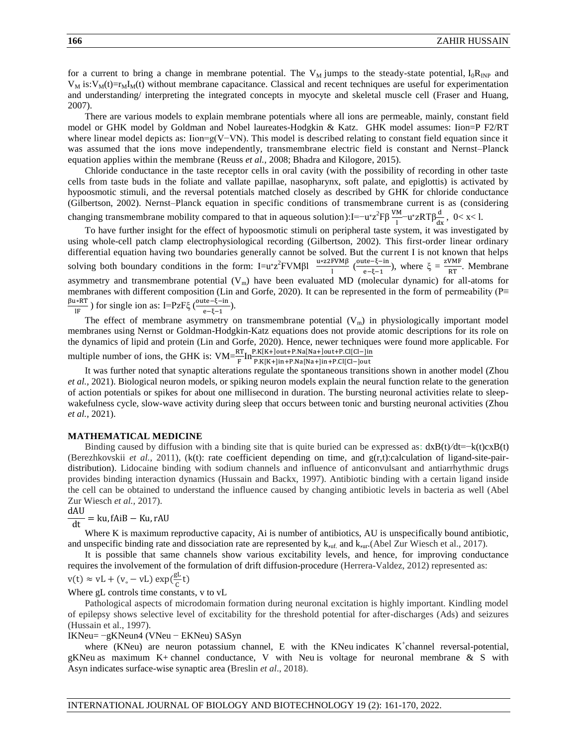for a current to bring a change in membrane potential. The  $V_M$  jumps to the steady-state potential,  $I_0R_{INP}$  and  $V_M$  is: $V_M(t)=r_M I_M(t)$  without membrane capacitance. Classical and recent techniques are useful for experimentation and understanding/ interpreting the integrated concepts in myocyte and skeletal muscle cell (Fraser and Huang, 2007).

There are various models to explain membrane potentials where all ions are permeable, mainly, constant field model or GHK model by Goldman and Nobel laureates-Hodgkin & Katz. GHK model assumes: Iion=P F2/RT where linear model depicts as: Iion=g(V−VN). This model is described relating to constant field equation since it was assumed that the ions move independently, transmembrane electric field is constant and Nernst–Planck equation applies within the membrane (Reuss *et al.,* 2008; Bhadra and Kilogore, 2015).

Chloride conductance in the taste receptor cells in oral cavity (with the possibility of recording in other taste cells from taste buds in the foliate and vallate papillae, nasopharynx, soft palate, and epiglottis) is activated by hypoosmotic stimuli, and the reversal potentials matched closely as described by GHK for chloride conductance (Gilbertson, 2002). Nernst–Planck equation in specific conditions of transmembrane current is as (considering changing transmembrane mobility compared to that in aqueous solution):I=−u\*z<sup>2</sup>Fβ  $\frac{VM}{l}$ −u\*zRTβ $\frac{d}{dx}$ , 0< x<1.

To have further insight for the effect of hypoosmotic stimuli on peripheral taste system, it was investigated by using whole-cell patch clamp electrophysiological recording (Gilbertson, 2002). This first-order linear ordinary differential equation having two boundaries generally cannot be solved. But the current I is not known that helps solving both boundary conditions in the form:  $I = u^*z^2 FVM\beta I$ u∗z  $\frac{\text{FWM}\beta}{\text{l}}$  ( $\frac{\text{o}}{\text{c}}$  $\frac{\text{ite}-\xi-\text{in}}{\text{e}-\xi-1}$ ), where  $\xi = \frac{z}{\xi}$  $\frac{\text{Whr}}{\text{RT}}$ . Membrane asymmetry and transmembrane potential  $(V_m)$  have been evaluated MD (molecular dynamic) for all-atoms for membranes with different composition (Lin and Gorfe, 2020). It can be represented in the form of permeability (P≡ βu∗R  $\frac{1}{1F}$ ) for single ion as: I=PzF $\xi$  (<sup>o</sup>  $\frac{(\mathfrak{t}\mathfrak{e}^{\mathfrak{t}}-\mathfrak{c}^{\mathfrak{t}}-\mathfrak{m})}{\mathfrak{e}^{\mathfrak{t}}-\mathfrak{e}^{\mathfrak{t}}-1}.$ 

The effect of membrane asymmetry on transmembrane potential  $(V_m)$  in physiologically important model membranes using Nernst or Goldman-Hodgkin-Katz equations does not provide atomic descriptions for its role on the dynamics of lipid and protein (Lin and Gorfe, 2020). Hence, newer techniques were found more applicable. For multiple number of ions, the GHK is:  $VM = \frac{RT}{F} In \frac{P.K[K+]out+P.Na[Na+]out+P.CI[Cl-]in+P.Na[Na+]in+P.CI[Cl-]in+P.Na[Na+]in+P.CI[Cl-]in+P.Na[Na+]in+P.Na[Na+]in+P.Na[Na+]in+P.Na[Na+]in+P.Na[Na+]in+P.Na[Na+]in+P.Na[Na+]in+P.Na[Na+]in+P.Na[Na+]in+P.Na[Na+]in+P.Na[Na+]in+P.Na[Na+]in+P$ 

It was further noted that synaptic alterations regulate the spontaneous transitions shown in another model (Zhou *et al.,* 2021). Biological neuron models, or spiking neuron models explain the neural function relate to the generation of action potentials or spikes for about one millisecond in duration. The bursting neuronal activities relate to sleepwakefulness cycle, slow-wave activity during sleep that occurs between tonic and bursting neuronal activities (Zhou *et al.,* 2021).

#### **MATHEMATICAL MEDICINE**

Binding caused by diffusion with a binding site that is quite buried can be expressed as:  $dxB(t)/dt=-k(t)cxB(t)$ (Berezhkovskii *et al.,* 2011), (k(t): rate coefficient depending on time, and g(r,t):calculation of ligand-site-pairdistribution). Lidocaine binding with sodium channels and influence of anticonvulsant and antiarrhythmic drugs provides binding interaction dynamics (Hussain and Backx, 1997). Antibiotic binding with a certain ligand inside the cell can be obtained to understand the influence caused by changing antibiotic levels in bacteria as well (Abel Zur Wiesch *et al.,* 2017).

#### dAU  $=$  ku, fAiB  $-$  Ku, rAU  $\overline{dt}$

Where K is maximum reproductive capacity, Ai is number of antibiotics, AU is unspecifically bound antibiotic, and unspecific binding rate and dissociation rate are represented by  $k_{\text{unf}}$  and  $k_{\text{unf}}$ . (Abel Zur Wiesch et al., 2017).

It is possible that same channels show various excitability levels, and hence, for improving conductance requires the involvement of the formulation of drift diffusion-procedure (Herrera-Valdez, 2012) represented as:

$$
v(t) \approx vL + (v_{\circ} - vL) \exp(\frac{gL}{c}t)
$$

Where gL controls time constants, v to vL

Pathological aspects of microdomain formation during neuronal excitation is highly important. Kindling model of epilepsy shows selective level of excitability for the threshold potential for after-discharges (Ads) and seizures (Hussain et al., 1997).

IKNeu= −gKNeun4 (VNeu − EKNeu) SASyn

where (KNeu) are neuron potassium channel, E with the KNeu indicates  $K^+$ channel reversal-potential, gKNeu as maximum K+ channel conductance, V with Neu is voltage for neuronal membrane & S with Asyn indicates surface-wise synaptic area (Breslin *et al*., 2018).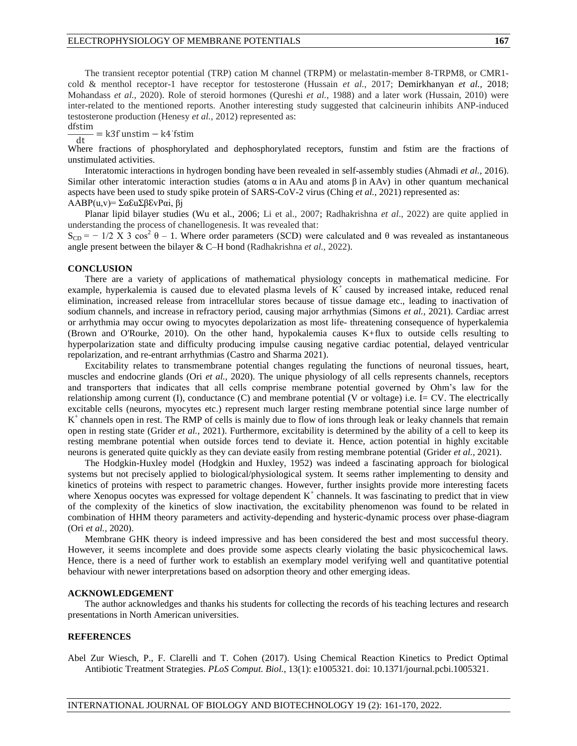The transient receptor potential (TRP) cation M channel (TRPM) or melastatin-member 8-TRPM8, or CMR1 cold & menthol receptor-1 have receptor for testosterone (Hussain *et al.*, 2017; Demirkhanyan *et al.,* 2018; Mohandass *et al.,* 2020). Role of steroid hormones (Qureshi *et al.,* 1988) and a later work (Hussain, 2010) were inter-related to the mentioned reports. Another interesting study suggested that calcineurin inhibits ANP-induced testosterone production (Henesy *et al.,* 2012) represented as:

dfstim  $= k3f$  unstim  $- k4$  fstim  $dt$ 

Where fractions of phosphorylated and dephosphorylated receptors, funstim and fstim are the fractions of unstimulated activities.

Interatomic interactions in hydrogen bonding have been revealed in self-assembly studies (Ahmadi *et al.,* 2016). Similar other interatomic interaction studies (atoms  $\alpha$  in AAu and atoms  $\beta$  in AAv) in other quantum mechanical aspects have been used to study spike protein of SARS-CoV-2 virus (Ching *et al.,* 2021) represented as: AABP(u,v)= ΣαℇuΣβℇvPαi, βj

Planar lipid bilayer studies (Wu et al., 2006; Li et al., 2007; Radhakrishna *et al*., 2022) are quite applied in understanding the process of chanellogenesis. It was revealed that:

 $S_{CD} = -1/2 \text{ X } 3 \cos^2 \theta - 1$ . Where order parameters (SCD) were calculated and  $\theta$  was revealed as instantaneous angle present between the bilayer & C–H bond (Radhakrishna *et al.,* 2022).

#### **CONCLUSION**

There are a variety of applications of mathematical physiology concepts in mathematical medicine. For example, hyperkalemia is caused due to elevated plasma levels of  $K^+$  caused by increased intake, reduced renal elimination, increased release from intracellular stores because of tissue damage etc., leading to inactivation of sodium channels, and increase in refractory period, causing major arrhythmias (Simons *et al.,* 2021). Cardiac arrest or arrhythmia may occur owing to myocytes depolarization as most life- threatening consequence of hyperkalemia (Brown and O'Rourke, 2010). On the other hand, hypokalemia causes K+flux to outside cells resulting to hyperpolarization state and difficulty producing impulse causing negative cardiac potential, delayed ventricular repolarization, and re-entrant arrhythmias (Castro and Sharma 2021).

Excitability relates to transmembrane potential changes regulating the functions of neuronal tissues, heart, muscles and endocrine glands (Ori *et al.,* 2020). The unique physiology of all cells represents channels, receptors and transporters that indicates that all cells comprise membrane potential governed by Ohm's law for the relationship among current (I), conductance (C) and membrane potential (V or voltage) i.e. I= CV. The electrically excitable cells (neurons, myocytes etc.) represent much larger resting membrane potential since large number of K<sup>+</sup> channels open in rest. The RMP of cells is mainly due to flow of ions through leak or leaky channels that remain open in resting state (Grider *et al.,* 2021). Furthermore, excitability is determined by the ability of a cell to keep its resting membrane potential when outside forces tend to deviate it. Hence, action potential in highly excitable neurons is generated quite quickly as they can deviate easily from resting membrane potential (Grider *et al.,* 2021).

The Hodgkin-Huxley model (Hodgkin and Huxley, 1952) was indeed a fascinating approach for biological systems but not precisely applied to biological/physiological system. It seems rather implementing to density and kinetics of proteins with respect to parametric changes. However, further insights provide more interesting facets where Xenopus oocytes was expressed for voltage dependent  $K^+$  channels. It was fascinating to predict that in view of the complexity of the kinetics of slow inactivation, the excitability phenomenon was found to be related in combination of HHM theory parameters and activity-depending and hysteric-dynamic process over phase-diagram (Ori *et al.,* 2020).

Membrane GHK theory is indeed impressive and has been considered the best and most successful theory. However, it seems incomplete and does provide some aspects clearly violating the basic physicochemical laws. Hence, there is a need of further work to establish an exemplary model verifying well and quantitative potential behaviour with newer interpretations based on adsorption theory and other emerging ideas.

#### **ACKNOWLEDGEMENT**

The author acknowledges and thanks his students for collecting the records of his teaching lectures and research presentations in North American universities.

### **REFERENCES**

Abel Zur Wiesch, P., F. Clarelli and T. Cohen (2017). Using Chemical Reaction Kinetics to Predict Optimal Antibiotic Treatment Strategies. *PLoS Comput. Biol.*, 13(1): e1005321. doi: 10.1371/journal.pcbi.1005321.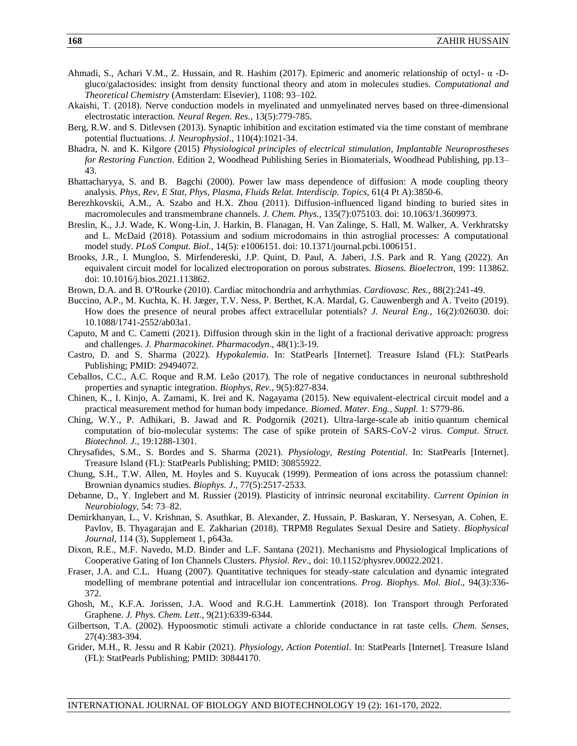- Ahmadi, S., Achari V.M., Z. Hussain, and R. Hashim (2017). Epimeric and anomeric relationship of octyl- α -Dgluco/galactosides: insight from density functional theory and atom in molecules studies. *Computational and Theoretical Chemistry* (Amsterdam: Elsevier), 1108: 93–102.
- Akaishi, T. (2018). Nerve conduction models in myelinated and unmyelinated nerves based on three-dimensional electrostatic interaction. *Neural Regen. Res.,* 13(5):779-785.
- Berg, R.W. and S. Ditlevsen (2013). Synaptic inhibition and excitation estimated via the time constant of membrane potential fluctuations. *J. Neurophysiol*., 110(4):1021-34.
- Bhadra, N. and K. Kilgore (2015) *Physiological principles of electrical stimulation, Implantable Neuroprostheses for Restoring Function*. Edition 2, Woodhead Publishing Series in Biomaterials, Woodhead Publishing, pp.13– 43.
- Bhattacharyya, S. and B. Bagchi (2000). Power law mass dependence of diffusion: A mode coupling theory analysis. *Phys, Rev, E Stat, Phys, Plasma, Fluids Relat. Interdiscip. Topics,* 61(4 Pt A):3850-6.
- Berezhkovskii, A.M., A. Szabo and H.X. Zhou (2011). Diffusion-influenced ligand binding to buried sites in macromolecules and transmembrane channels. *J. Chem. Phys.,* 135(7):075103. doi: 10.1063/1.3609973.
- Breslin, K., J.J. Wade, K. Wong-Lin, J. Harkin, B. Flanagan, H. Van Zalinge, S. Hall, M. Walker, A. Verkhratsky and L. McDaid (2018). Potassium and sodium microdomains in thin astroglial processes: A computational model study. *PLoS Comput. Biol.,* 14(5): e1006151. doi: 10.1371/journal.pcbi.1006151.
- Brooks, J.R., I. Mungloo, S. Mirfendereski, J.P. Quint, D. Paul, A. Jaberi, J.S. Park and R. Yang (2022). An equivalent circuit model for localized electroporation on porous substrates. *Biosens. Bioelectron*, 199: 113862. doi: 10.1016/j.bios.2021.113862.
- Brown, D.A. and B. O'Rourke (2010). Cardiac mitochondria and arrhythmias. *Cardiovasc. Res.,* 88(2):241-49.
- Buccino, A.P., M. Kuchta, K. H. Jæger, T.V. Ness, P. Berthet, K.A. Mardal, G. Cauwenbergh and A. Tveito (2019). How does the presence of neural probes affect extracellular potentials? *J. Neural Eng.,* 16(2):026030. doi: 10.1088/1741-2552/ab03a1.
- Caputo, M and C. Cametti (2021). Diffusion through skin in the light of a fractional derivative approach: progress and challenges. *J. Pharmacokinet. Pharmacodyn*., 48(1):3-19.
- Castro, D. and S. Sharma (2022). *Hypokalemia*. In: StatPearls [Internet]. Treasure Island (FL): StatPearls Publishing; PMID: 29494072.
- Ceballos, C.C., A.C. Roque and R.M. Leão (2017). The role of negative conductances in neuronal subthreshold properties and synaptic integration. *Biophys, Rev.*, 9(5):827-834.
- Chinen, K., I. Kinjo, A. Zamami, K. Irei and K. Nagayama (2015). New equivalent-electrical circuit model and a practical measurement method for human body impedance. *Biomed. Mater. Eng., Suppl*. 1: S779-86.
- Ching, W.Y., P. Adhikari, B. Jawad and R. Podgornik (2021). Ultra-large-scale ab initio quantum chemical computation of bio-molecular systems: The case of spike protein of SARS-CoV-2 virus. *Comput. Struct. Biotechnol. J*., 19:1288-1301.
- Chrysafides, S.M., S. Bordes and S. Sharma (2021). *Physiology, Resting Potential*. In: StatPearls [Internet]. Treasure Island (FL): StatPearls Publishing; PMID: 30855922.
- Chung, S.H., T.W. Allen, M. Hoyles and S. Kuyucak (1999). Permeation of ions across the potassium channel: Brownian dynamics studies. *Biophys. J*., 77(5):2517-2533.
- Debanne, D., Y. Inglebert and M. Russier (2019). Plasticity of intrinsic neuronal excitability. *Current Opinion in Neurobiology,* 54: 73–82.
- Demirkhanyan, L., V. Krishnan, S. Asuthkar, B. Alexander, Z. Hussain, P. Baskaran, Y. Nersesyan, A. Cohen, E. Pavlov, B. Thyagarajan and E. Zakharian (2018). TRPM8 Regulates Sexual Desire and Satiety. *Biophysical Journal*, 114 (3), Supplement 1, p643a.
- Dixon, R.E., M.F. Navedo, M.D. Binder and L.F. Santana (2021). Mechanisms and Physiological Implications of Cooperative Gating of Ion Channels Clusters. *Physiol. Rev*., doi: 10.1152/physrev.00022.2021.
- Fraser, J.A. and C.L. Huang (2007). Quantitative techniques for steady-state calculation and dynamic integrated modelling of membrane potential and intracellular ion concentrations. *Prog. Biophys. Mol. Biol*., 94(3):336- 372.
- Ghosh, M., K.F.A. Jorissen, J.A. Wood and R.G.H. Lammertink (2018). Ion Transport through Perforated Graphene. *J. Phys. Chem. Lett.,* 9(21):6339-6344.
- Gilbertson, T.A. (2002). Hypoosmotic stimuli activate a chloride conductance in rat taste cells. *Chem. Senses*, 27(4):383-394.
- Grider, M.H., R. Jessu and R Kabir (2021). *Physiology, Action Potential*. In: StatPearls [Internet]. Treasure Island (FL): StatPearls Publishing; PMID: 30844170.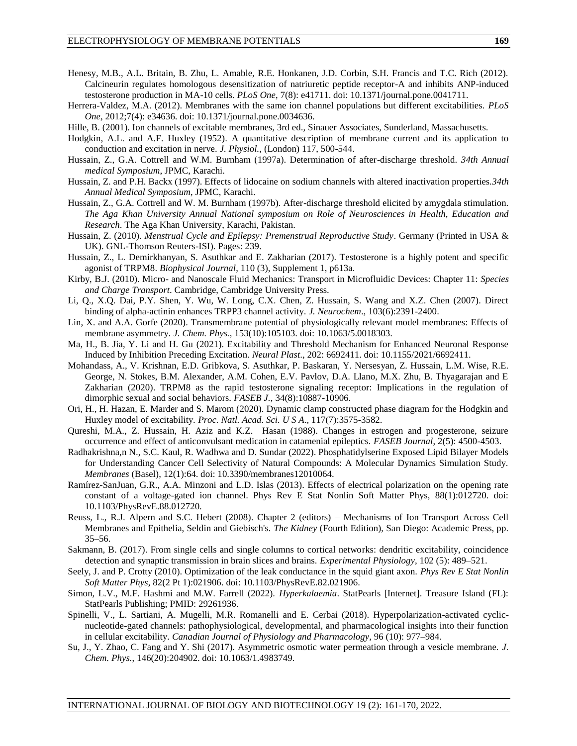- Henesy, M.B., A.L. Britain, B. Zhu, L. Amable, R.E. Honkanen, J.D. Corbin, S.H. Francis and T.C. Rich (2012). Calcineurin regulates homologous desensitization of natriuretic peptide receptor-A and inhibits ANP-induced testosterone production in MA-10 cells. *PLoS One*, 7(8): e41711. doi: 10.1371/journal.pone.0041711.
- Herrera-Valdez, M.A. (2012). Membranes with the same ion channel populations but different excitabilities. *PLoS One*, 2012;7(4): e34636. doi: 10.1371/journal.pone.0034636.
- Hille, B. (2001). Ion channels of excitable membranes, 3rd ed., Sinauer Associates, Sunderland, Massachusetts.
- Hodgkin, A.L. and A.F. Huxley (1952). A quantitative description of membrane current and its application to conduction and excitation in nerve. *J. Physiol.,* (London) 117, 500-544.
- Hussain, Z., G.A. Cottrell and W.M. Burnham (1997a). Determination of after-discharge threshold. *34th Annual medical Symposium*, JPMC, Karachi.
- Hussain, Z. and P.H. Backx (1997). Effects of lidocaine on sodium channels with altered inactivation properties.*34th Annual Medical Symposium*, JPMC, Karachi.
- Hussain, Z., G.A. Cottrell and W. M. Burnham (1997b). After-discharge threshold elicited by amygdala stimulation. *The Aga Khan University Annual National symposium on Role of Neurosciences in Health, Education and Research*. The Aga Khan University, Karachi, Pakistan.
- Hussain, Z. (2010). *Menstrual Cycle and Epilepsy: Premenstrual Reproductive Study*. Germany (Printed in USA & UK). GNL-Thomson Reuters-ISI). Pages: 239.
- Hussain, Z., L. Demirkhanyan, S. Asuthkar and E. Zakharian (2017). Testosterone is a highly potent and specific agonist of TRPM8. *Biophysical Journal*, 110 (3), Supplement 1, p613a.
- Kirby, B.J. (2010). Micro- and Nanoscale Fluid Mechanics: Transport in Microfluidic Devices: Chapter 11: *Species and Charge Transport*. Cambridge, Cambridge University Press.
- Li, Q., X.Q. Dai, P.Y. Shen, Y. Wu, W. Long, C.X. Chen, Z. Hussain, S. Wang and X.Z. Chen (2007). Direct binding of alpha-actinin enhances TRPP3 channel activity. *J. Neurochem*., 103(6):2391-2400.
- Lin, X. and A.A. Gorfe (2020). Transmembrane potential of physiologically relevant model membranes: Effects of membrane asymmetry*. J. Chem. Phys.,* 153(10):105103. doi: 10.1063/5.0018303.
- Ma, H., B. Jia, Y. Li and H. Gu (2021). Excitability and Threshold Mechanism for Enhanced Neuronal Response Induced by Inhibition Preceding Excitation. *Neural Plast*., 202: 6692411. doi: 10.1155/2021/6692411.
- Mohandass, A., V. Krishnan, E.D. Gribkova, S. Asuthkar, P. Baskaran, Y. Nersesyan, Z. Hussain, L.M. Wise, R.E. George, N. Stokes, B.M. Alexander, A.M. Cohen, E.V. Pavlov, D.A. Llano, M.X. Zhu, B. Thyagarajan and E Zakharian (2020). TRPM8 as the rapid testosterone signaling receptor: Implications in the regulation of dimorphic sexual and social behaviors. *FASEB J.,* 34(8):10887-10906.
- Ori, H., H. Hazan, E. Marder and S. Marom (2020). Dynamic clamp constructed phase diagram for the Hodgkin and Huxley model of excitability. *Proc. Natl. Acad. Sci. U S A*., 117(7):3575-3582.
- Qureshi, M.A., Z. Hussain, H. Aziz and K.Z. Hasan (1988). Changes in estrogen and progesterone, seizure occurrence and effect of anticonvulsant medication in catamenial epileptics. *FASEB Journal*, 2(5): 4500-4503.
- Radhakrishna,n N., S.C. Kaul, R. Wadhwa and D. Sundar (2022). Phosphatidylserine Exposed Lipid Bilayer Models for Understanding Cancer Cell Selectivity of Natural Compounds: A Molecular Dynamics Simulation Study. *Membranes* (Basel), 12(1):64. doi: 10.3390/membranes12010064.
- Ramírez-SanJuan, G.R., A.A. Minzoni and L.D. Islas (2013). Effects of electrical polarization on the opening rate constant of a voltage-gated ion channel. Phys Rev E Stat Nonlin Soft Matter Phys, 88(1):012720. doi: 10.1103/PhysRevE.88.012720.
- Reuss, L., R.J. Alpern and S.C. Hebert (2008). Chapter 2 (editors) Mechanisms of Ion Transport Across Cell Membranes and Epithelia, Seldin and Giebisch's. *The Kidney* (Fourth Edition), San Diego: Academic Press, pp. 35–56.
- Sakmann, B. (2017). From single cells and single columns to cortical networks: dendritic excitability, coincidence detection and synaptic transmission in brain slices and brains. *Experimental Physiology*, 102 (5): 489–521.
- Seely, J. and P. Crotty (2010). Optimization of the leak conductance in the squid giant axon. *Phys Rev E Stat Nonlin Soft Matter Phys*, 82(2 Pt 1):021906. doi: 10.1103/PhysRevE.82.021906.
- Simon, L.V., M.F. Hashmi and M.W. Farrell (2022). *Hyperkalaemia*. StatPearls [Internet]. Treasure Island (FL): StatPearls Publishing; PMID: 29261936.
- Spinelli, V., L. Sartiani, A. Mugelli, M.R. Romanelli and E. Cerbai (2018). Hyperpolarization-activated cyclicnucleotide-gated channels: pathophysiological, developmental, and pharmacological insights into their function in cellular excitability. *Canadian Journal of Physiology and Pharmacology,* 96 (10): 977–984.
- Su, J., Y. Zhao, C. Fang and Y. Shi (2017). Asymmetric osmotic water permeation through a vesicle membrane. *J. Chem. Phys.*, 146(20):204902. doi: 10.1063/1.4983749.